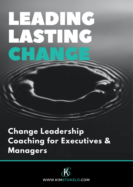# LEADING STIN

# **Change Leadership Coaching for Executives & Managers**

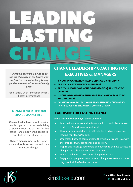

*"Change leadership is going to be the big challenge in the future, and the fact that almost nobody is very good at it – well, it's obviously a big deal"* 

John Kotter, Chief Innovation Officer, Kotter International

#### **CHANGE LEADERSHIP IS NOT CHANGE MANAGEMENT**

**Change leadership** is about bringing people together to a cause—building trust, conviction and passion for that cause—and empowering people to contribute so that change lasts.

**Change management** is the framework and tools to structure and communicate change.

## **CHANGE LEADERSHIP COACHING FOR EXECUTIVES & MANAGERS**

- **IS YOUR ORGANISATION FACING CHANGE OR REFORM ?**
- **ARE YOU AN EXECUTIVE OR MANAGER?**
- **ARE YOUR PEOPLE (OR YOUR ORGANISATION) RESISTANT TO CHANGE?**
- **IS YOUR ORGANISATION SUFFERING STAGNATION & NEED TO BECOME AGILE?**
- **DO KNOW HOW TO LEAD YOUR TEAM THROUGH CHANGE SO THAT PEOPLE ARE ENGAGED & CONTRIBUTING?**

### **LEADERSHIP FOR LASTING CHANGE**

*In this executive coaching program, you will:*

- Learn self-awareness and self-leadership to maximise your own leadership & performance potential.
- Have practical confidence & self-belief in leading change and leading your teams/people.
- Understand how to communicate the vision (or cause) in a way that inspires trust, confidence and passion.
- Inspire and leverage your circle of influence to achieve success in change (and other business/personal goals).
- Understand how to overcome 'change resistance'.
- Engage your people to contribute to change to create sustainable, practical & effective outcomes.



# kimstokeld.com

**E: me@kimstokeld.com M: +61 416 261 336**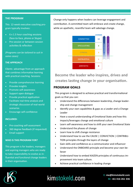#### **THE PROGRAM**

This 12-week executive coaching program typically involves:

- 6 x 1.5 hour coaching sessions (face-to-face, phone or Skype)
- Pre-session or between-session activities & reflection

*(Programs can be tailored to suit in some cases)*

#### **THE APPROACH**

Clients advantage from an approach that combines informative learning with practical coaching. Sessions:

- Provide comprehensive learning
- Provoke insights
- Promote self-awareness
- Support open dialogue
- Provide practical application
- Facilitate real-time analysis and strategic discussion of real-world scenarios
- Encourage self-confidence

#### **INCLUDED:**

- Pre-coaching self-assessment
- 360 degree feedback (if requested)
- Email support

#### **WHO IS THIS PROGRAM FOR?**

This program is for leaders, managers and aspiring managers who are ready to take responsibility to evolve as influential and functional change leaders in their organisation.

Change only happens when leaders can leverage engagement and contribution. A committed team will embrace and create change, while an apathetic, resentful team will sabotage change.



**Become the leader who inspires, drives and creates lasting change in your organisation.** 

#### **PROGRAM GOALS**

This program is designed to achieve practical and transformational goals so that you can:

- Understand the differences between leadership, change leadership and change management
- Identify your own capabilities & gaps as a Leader and a Change Leader
- Have a sound understanding of Emotional State and how this impacts/leverages change and emotional culture
- Learn self-awareness and how to shift your own Emotional State
- Understand the phases of change
- Learn how to shift change resistance
- Understand how to use the CAUSE | CONVICTION | CONTRIBU-TION principles through the layers of change
- Gain skills and confidence as a communicator and influencer
- Understand the ONBOARD principle and become your own believer
- Understand how to embed KAIZEN principles of continuous improvement into team culture.
- Achieve practical confidence in leading change



## kimstokeld.com

**E: me@kimstokeld.com M: +61 416 261 336**